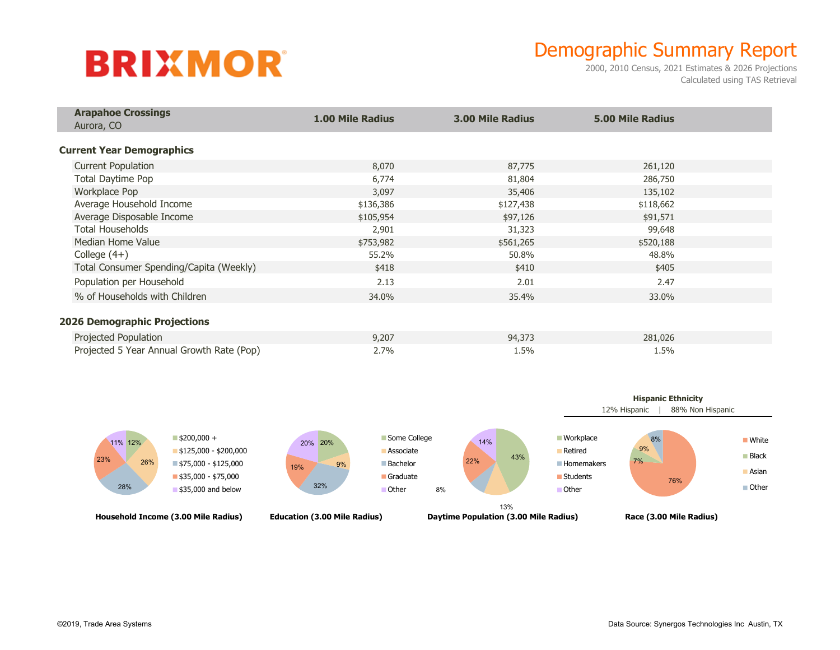# **BRIXMOR**

## Demographic Summary Report

2000, 2010 Census, 2021 Estimates & 2026 Projections Calculated using TAS Retrieval

| <b>Arapahoe Crossings</b><br>Aurora, CO   | <b>1.00 Mile Radius</b> | <b>3.00 Mile Radius</b> | <b>5.00 Mile Radius</b> |  |
|-------------------------------------------|-------------------------|-------------------------|-------------------------|--|
| <b>Current Year Demographics</b>          |                         |                         |                         |  |
| <b>Current Population</b>                 | 8,070                   | 87,775                  | 261,120                 |  |
| Total Daytime Pop                         | 6,774                   | 81,804                  | 286,750                 |  |
| Workplace Pop                             | 3,097                   | 35,406                  | 135,102                 |  |
| Average Household Income                  | \$136,386               | \$127,438               | \$118,662               |  |
| Average Disposable Income                 | \$105,954               | \$97,126                | \$91,571                |  |
| <b>Total Households</b>                   | 2,901                   | 31,323                  | 99,648                  |  |
| Median Home Value                         | \$753,982               | \$561,265               | \$520,188               |  |
| College $(4+)$                            | 55.2%                   | 50.8%                   | 48.8%                   |  |
| Total Consumer Spending/Capita (Weekly)   | \$418                   | \$410                   | \$405                   |  |
| Population per Household                  | 2.13                    | 2.01                    | 2.47                    |  |
| % of Households with Children             | 34.0%                   | 35.4%                   | 33.0%                   |  |
| <b>2026 Demographic Projections</b>       |                         |                         |                         |  |
| Projected Population                      | 9,207                   | 94,373                  | 281,026                 |  |
| Projected 5 Year Annual Growth Rate (Pop) | 2.7%                    | 1.5%                    | 1.5%                    |  |